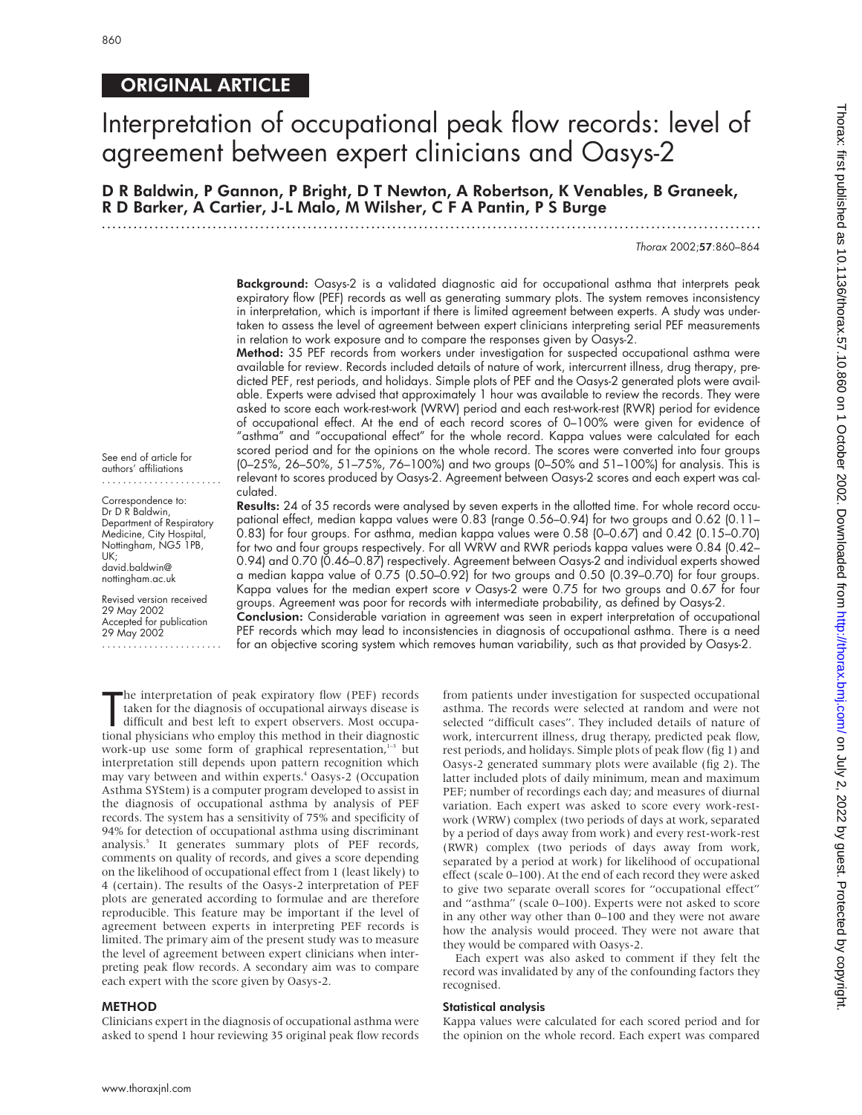See end of article for authors' affiliations ....................... Correspondence to: Dr D R Baldwin,

Medicine, City Hospital, Nottingham, NG5 1PB,

.......................

david.baldwin@ nottingham.ac.uk

29 May 2002

UK;

### ORIGINAL ARTICLE

# Interpretation of occupational peak flow records: level of agreement between expert clinicians and Oasys-2

D R Baldwin, P Gannon, P Bright, D T Newton, A Robertson, K Venables, B Graneek, R D Barker, A Cartier, J-L Malo, M Wilsher, C F A Pantin, P S Burge

Thorax 2002;57:860–864

Background: Oasys-2 is a validated diagnostic aid for occupational asthma that interprets peak expiratory flow (PEF) records as well as generating summary plots. The system removes inconsistency in interpretation, which is important if there is limited agreement between experts. A study was undertaken to assess the level of agreement between expert clinicians interpreting serial PEF measurements in relation to work exposure and to compare the responses given by Oasys-2.

Method: 35 PEF records from workers under investigation for suspected occupational asthma were available for review. Records included details of nature of work, intercurrent illness, drug therapy, predicted PEF, rest periods, and holidays. Simple plots of PEF and the Oasys-2 generated plots were available. Experts were advised that approximately 1 hour was available to review the records. They were asked to score each work-rest-work (WRW) period and each rest-work-rest (RWR) period for evidence of occupational effect. At the end of each record scores of 0–100% were given for evidence of "asthma" and "occupational effect" for the whole record. Kappa values were calculated for each scored period and for the opinions on the whole record. The scores were converted into four groups (0–25%, 26–50%, 51–75%, 76–100%) and two groups (0–50% and 51–100%) for analysis. This is relevant to scores produced by Oasys-2. Agreement between Oasys-2 scores and each expert was calculated.

Results: 24 of 35 records were analysed by seven experts in the allotted time. For whole record occupational effect, median kappa values were 0.83 (range 0.56–0.94) for two groups and 0.62 (0.11– 0.83) for four groups. For asthma, median kappa values were 0.58 (0–0.67) and 0.42 (0.15–0.70) for two and four groups respectively. For all WRW and RWR periods kappa values were 0.84 (0.42-0.94) and 0.70 (0.46–0.87) respectively. Agreement between Oasys-2 and individual experts showed a median kappa value of 0.75 (0.50–0.92) for two groups and 0.50 (0.39–0.70) for four groups. Kappa values for the median expert score <sup>v</sup> Oasys-2 were 0.75 for two groups and 0.67 for four groups. Agreement was poor for records with intermediate probability, as defined by Oasys-2. Department of Respiratory Revised version received 29 May 2002 Accepted for publication

**Conclusion:** Considerable variation in agreement was seen in expert interpretation of occupational PEF records which may lead to inconsistencies in diagnosis of occupational asthma. There is a need for an objective scoring system which removes human variability, such as that provided by Oasys-2.

The interpretation of peak expiratory flow (PEF) records<br>taken for the diagnosis of occupational airways disease is<br>difficult and best left to expert observers. Most occupa-<br>tional physicians who employ this method in thei he interpretation of peak expiratory flow (PEF) records taken for the diagnosis of occupational airways disease is difficult and best left to expert observers. Most occupawork-up use some form of graphical representation,<sup>1-3</sup> but interpretation still depends upon pattern recognition which may vary between and within experts.4 Oasys-2 (Occupation Asthma SYStem) is a computer program developed to assist in the diagnosis of occupational asthma by analysis of PEF records. The system has a sensitivity of 75% and specificity of 94% for detection of occupational asthma using discriminant analysis.<sup>5</sup> It generates summary plots of PEF records, comments on quality of records, and gives a score depending on the likelihood of occupational effect from 1 (least likely) to 4 (certain). The results of the Oasys-2 interpretation of PEF plots are generated according to formulae and are therefore reproducible. This feature may be important if the level of agreement between experts in interpreting PEF records is limited. The primary aim of the present study was to measure the level of agreement between expert clinicians when interpreting peak flow records. A secondary aim was to compare each expert with the score given by Oasys-2.

#### METHOD

Clinicians expert in the diagnosis of occupational asthma were asked to spend 1 hour reviewing 35 original peak flow records

from patients under investigation for suspected occupational asthma. The records were selected at random and were not selected "difficult cases". They included details of nature of work, intercurrent illness, drug therapy, predicted peak flow, rest periods, and holidays. Simple plots of peak flow (fig 1) and Oasys-2 generated summary plots were available (fig 2). The latter included plots of daily minimum, mean and maximum PEF; number of recordings each day; and measures of diurnal variation. Each expert was asked to score every work-restwork (WRW) complex (two periods of days at work, separated by a period of days away from work) and every rest-work-rest (RWR) complex (two periods of days away from work, separated by a period at work) for likelihood of occupational effect (scale 0–100). At the end of each record they were asked to give two separate overall scores for "occupational effect" and "asthma" (scale 0–100). Experts were not asked to score in any other way other than 0–100 and they were not aware how the analysis would proceed. They were not aware that they would be compared with Oasys-2.

Each expert was also asked to comment if they felt the record was invalidated by any of the confounding factors they recognised.

#### Statistical analysis

Kappa values were calculated for each scored period and for the opinion on the whole record. Each expert was compared

Thorax: first published as 10.1136/thorax: 57.2022 by guest. Published from Journload ed from 10.000. Downloaded from the  $\gamma$  and  $\gamma$  and  $\gamma$  and  $\gamma$  and  $\gamma$  and  $\gamma$  and  $\gamma$  and  $\gamma$  and  $\gamma$  and  $\gamma$  and  $\gamma$  and Thorax: first published as 10.11196/thorax.57.10.860 on 1 October 2002. Downloaded from http://thorax.bmj.com/ on July 2, 2022 by guest. Protected by copyright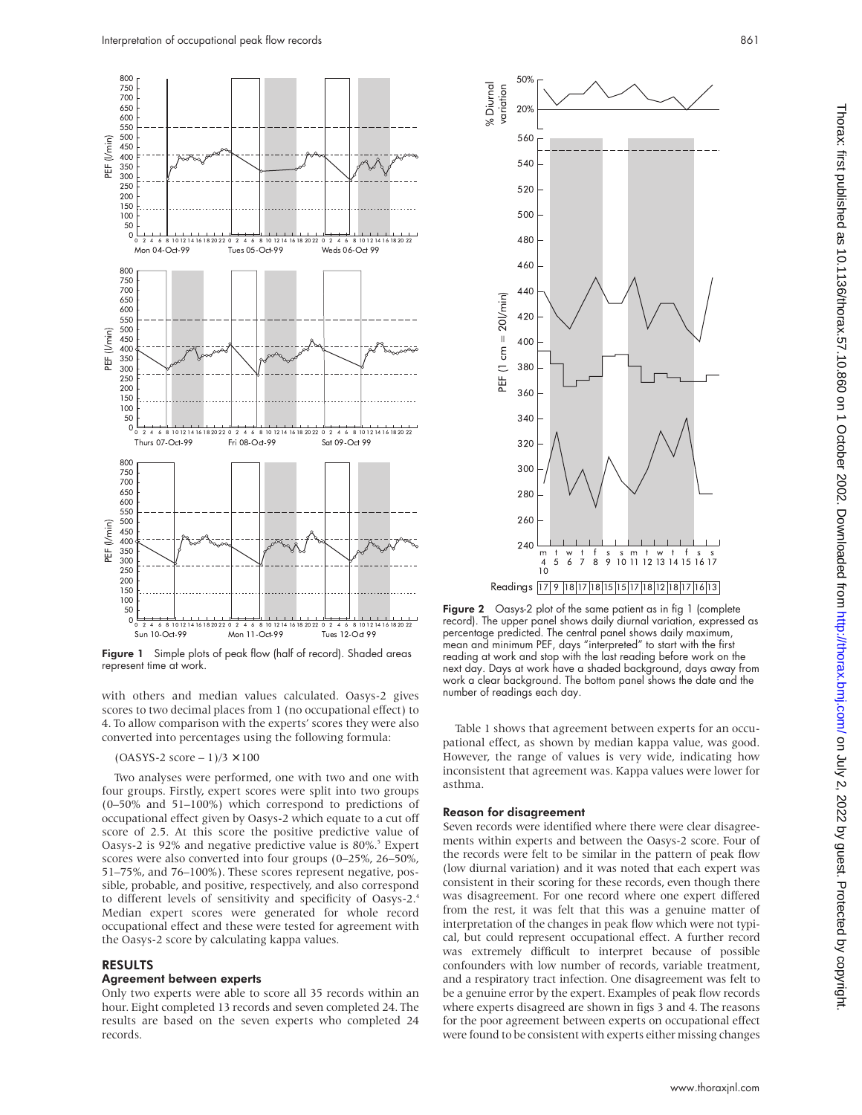

Figure 1 Simple plots of peak flow (half of record). Shaded areas represent time at work.

with others and median values calculated. Oasys-2 gives scores to two decimal places from 1 (no occupational effect) to 4. To allow comparison with the experts' scores they were also converted into percentages using the following formula:

#### $(OASYS-2 score - 1)/3 \times 100$

Two analyses were performed, one with two and one with four groups. Firstly, expert scores were split into two groups (0–50% and 51–100%) which correspond to predictions of occupational effect given by Oasys-2 which equate to a cut off score of 2.5. At this score the positive predictive value of Oasys-2 is 92% and negative predictive value is 80%.<sup>5</sup> Expert scores were also converted into four groups (0–25%, 26–50%, 51–75%, and 76–100%). These scores represent negative, possible, probable, and positive, respectively, and also correspond to different levels of sensitivity and specificity of Oasys-2.4 Median expert scores were generated for whole record occupational effect and these were tested for agreement with the Oasys-2 score by calculating kappa values.

#### RESULTS

#### Agreement between experts

Only two experts were able to score all 35 records within an hour. Eight completed 13 records and seven completed 24. The results are based on the seven experts who completed 24 records.



Figure 2 Oasys-2 plot of the same patient as in fig 1 (complete record). The upper panel shows daily diurnal variation, expressed as percentage predicted. The central panel shows daily maximum, mean and minimum PEF, days "interpreted" to start with the first reading at work and stop with the last reading before work on the next day. Days at work have a shaded background, days away from work a clear background. The bottom panel shows the date and the number of readings each day.

Table 1 shows that agreement between experts for an occupational effect, as shown by median kappa value, was good. However, the range of values is very wide, indicating how inconsistent that agreement was. Kappa values were lower for asthma.

#### Reason for disagreement

Seven records were identified where there were clear disagreements within experts and between the Oasys-2 score. Four of the records were felt to be similar in the pattern of peak flow (low diurnal variation) and it was noted that each expert was consistent in their scoring for these records, even though there was disagreement. For one record where one expert differed from the rest, it was felt that this was a genuine matter of interpretation of the changes in peak flow which were not typical, but could represent occupational effect. A further record was extremely difficult to interpret because of possible confounders with low number of records, variable treatment, and a respiratory tract infection. One disagreement was felt to be a genuine error by the expert. Examples of peak flow records where experts disagreed are shown in figs 3 and 4. The reasons for the poor agreement between experts on occupational effect were found to be consistent with experts either missing changes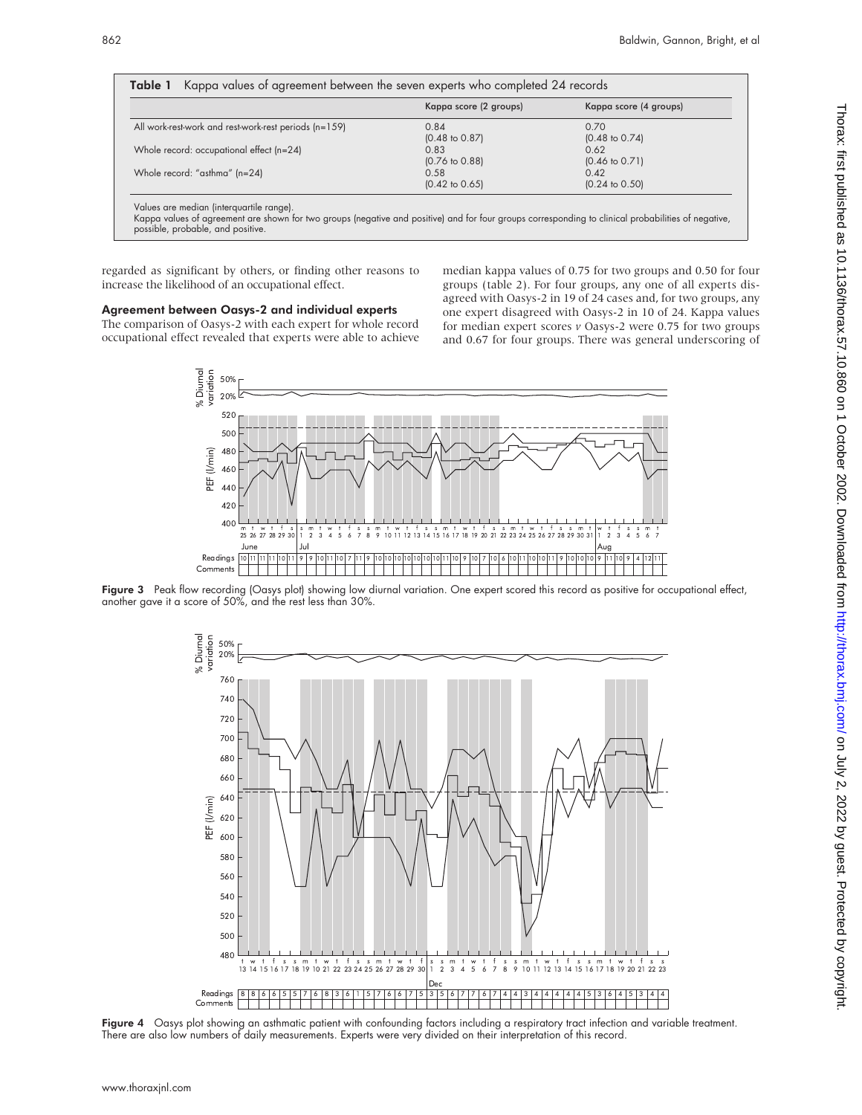|                                                       | Kappa score (2 groups)    | Kappa score (4 groups)    |
|-------------------------------------------------------|---------------------------|---------------------------|
| All work-rest-work and rest-work-rest periods (n=159) | 0.84                      | 0.70                      |
|                                                       | $(0.48 \text{ to } 0.87)$ | $(0.48 \text{ to } 0.74)$ |
| Whole record: occupational effect (n=24)              | 0.83                      | 0.62                      |
|                                                       | $(0.76 \text{ to } 0.88)$ | $(0.46 \text{ to } 0.71)$ |
| Whole record: "asthma" (n=24)                         | 0.58                      | 0.42                      |
|                                                       | $(0.42 \text{ to } 0.65)$ | $(0.24 \text{ to } 0.50)$ |

Values are median (interquartile range).

Kappa values of agreement are shown for two groups (negative and positive) and for four groups corresponding to clinical probabilities of negative, possible, probable, and positive.

regarded as significant by others, or finding other reasons to increase the likelihood of an occupational effect.

#### Agreement between Oasys-2 and individual experts The comparison of Oasys-2 with each expert for whole record

occupational effect revealed that experts were able to achieve median kappa values of 0.75 for two groups and 0.50 for four groups (table 2). For four groups, any one of all experts disagreed with Oasys-2 in 19 of 24 cases and, for two groups, any one expert disagreed with Oasys-2 in 10 of 24. Kappa values for median expert scores *v* Oasys-2 were 0.75 for two groups and 0.67 for four groups. There was general underscoring of



Figure 3 Peak flow recording (Oasys plot) showing low diurnal variation. One expert scored this record as positive for occupational effect, another gave it a score of 50%, and the rest less than 30%.



Figure 4 Oasys plot showing an asthmatic patient with confounding factors including a respiratory tract infection and variable treatment. There are also low numbers of daily measurements. Experts were very divided on their interpretation of this record.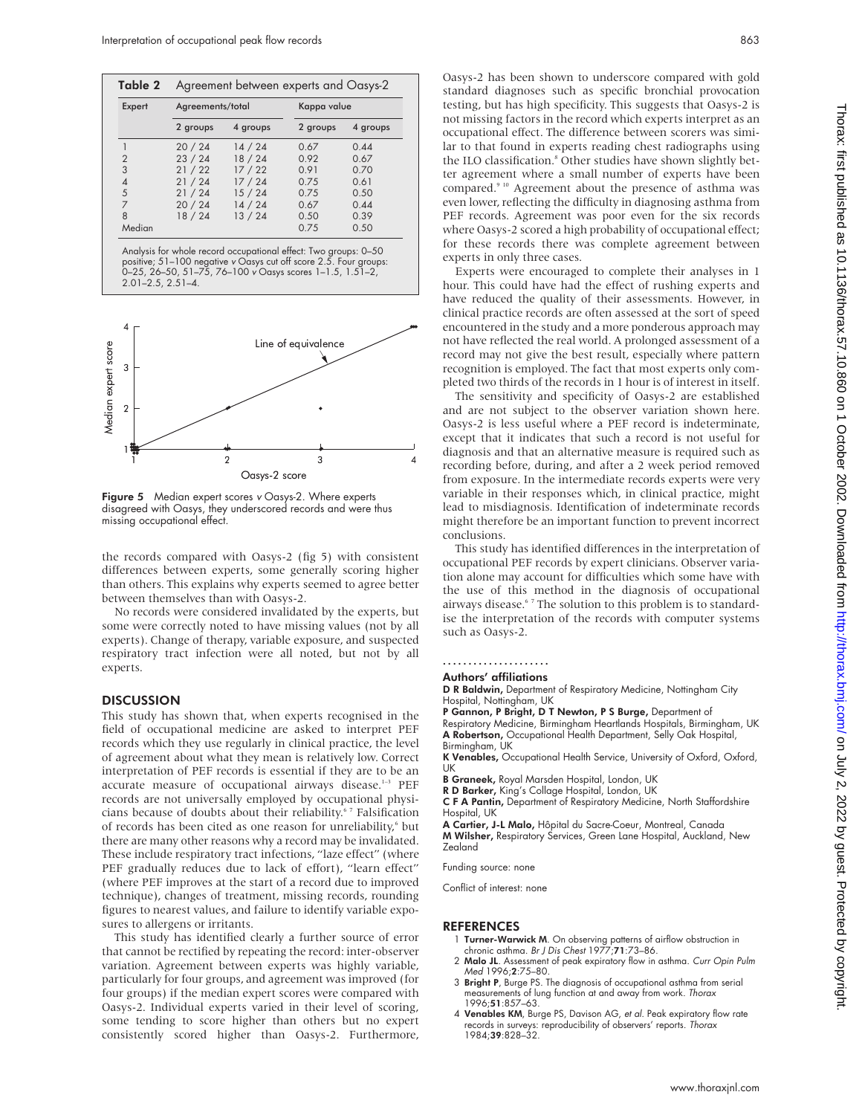| Agreement between experts and Oasys-2<br>Table 2 |                  |          |             |          |
|--------------------------------------------------|------------------|----------|-------------|----------|
| Expert                                           | Agreements/total |          | Kappa value |          |
|                                                  | 2 groups         | 4 groups | 2 groups    | 4 groups |
|                                                  | 20/24            | 14/24    | 0.67        | 0.44     |
| $\overline{2}$                                   | 23/24            | 18/24    | 0.92        | 0.67     |
| 3                                                | 21/22            | 17/22    | 0.91        | 0.70     |
| 4                                                | 21/24            | 17/24    | 075         | 0.61     |
| 5                                                | 21/24            | 15/24    | 0.75        | 0.50     |
| 7                                                | 20/24            | 14/24    | 0.67        | 0.44     |
| $\mathsf{R}$                                     | 18/24            | 13/24    | 0.50        | 0.39     |
| Median                                           |                  |          | 0.75        | 0.50     |

Analysis for whole record occupational effect: Two groups: 0–50 positive; 51–100 negative <sup>v</sup> Oasys cut off score 2.5. Four groups: 0–25, 26–50, 51–75, 76–100 <sup>v</sup> Oasys scores 1–1.5, 1.51–2, 2.01–2.5, 2.51–4.



Figure 5 Median expert scores v Oasys-2. Where experts disagreed with Oasys, they underscored records and were thus missing occupational effect.

the records compared with Oasys-2 (fig 5) with consistent differences between experts, some generally scoring higher than others. This explains why experts seemed to agree better between themselves than with Oasys-2.

No records were considered invalidated by the experts, but some were correctly noted to have missing values (not by all experts). Change of therapy, variable exposure, and suspected respiratory tract infection were all noted, but not by all experts.

#### **DISCUSSION**

This study has shown that, when experts recognised in the field of occupational medicine are asked to interpret PEF records which they use regularly in clinical practice, the level of agreement about what they mean is relatively low. Correct interpretation of PEF records is essential if they are to be an accurate measure of occupational airways disease.<sup>1-3</sup> PEF records are not universally employed by occupational physicians because of doubts about their reliability.<sup>67</sup> Falsification of records has been cited as one reason for unreliability,<sup>6</sup> but there are many other reasons why a record may be invalidated. These include respiratory tract infections, "laze effect" (where PEF gradually reduces due to lack of effort), "learn effect" (where PEF improves at the start of a record due to improved technique), changes of treatment, missing records, rounding figures to nearest values, and failure to identify variable exposures to allergens or irritants.

This study has identified clearly a further source of error that cannot be rectified by repeating the record: inter-observer variation. Agreement between experts was highly variable, particularly for four groups, and agreement was improved (for four groups) if the median expert scores were compared with Oasys-2. Individual experts varied in their level of scoring, some tending to score higher than others but no expert consistently scored higher than Oasys-2. Furthermore,

Oasys-2 has been shown to underscore compared with gold standard diagnoses such as specific bronchial provocation testing, but has high specificity. This suggests that Oasys-2 is not missing factors in the record which experts interpret as an occupational effect. The difference between scorers was similar to that found in experts reading chest radiographs using the ILO classification.<sup>8</sup> Other studies have shown slightly better agreement where a small number of experts have been compared.9 10 Agreement about the presence of asthma was even lower, reflecting the difficulty in diagnosing asthma from PEF records. Agreement was poor even for the six records where Oasys-2 scored a high probability of occupational effect; for these records there was complete agreement between experts in only three cases.

Experts were encouraged to complete their analyses in 1 hour. This could have had the effect of rushing experts and have reduced the quality of their assessments. However, in clinical practice records are often assessed at the sort of speed encountered in the study and a more ponderous approach may not have reflected the real world. A prolonged assessment of a record may not give the best result, especially where pattern recognition is employed. The fact that most experts only completed two thirds of the records in 1 hour is of interest in itself.

The sensitivity and specificity of Oasys-2 are established and are not subject to the observer variation shown here. Oasys-2 is less useful where a PEF record is indeterminate, except that it indicates that such a record is not useful for diagnosis and that an alternative measure is required such as recording before, during, and after a 2 week period removed from exposure. In the intermediate records experts were very variable in their responses which, in clinical practice, might lead to misdiagnosis. Identification of indeterminate records might therefore be an important function to prevent incorrect conclusions.

This study has identified differences in the interpretation of occupational PEF records by expert clinicians. Observer variation alone may account for difficulties which some have with the use of this method in the diagnosis of occupational airways disease.<sup>67</sup> The solution to this problem is to standardise the interpretation of the records with computer systems such as Oasys-2.

#### .....................

- Authors' affiliations
- D R Baldwin, Department of Respiratory Medicine, Nottingham City Hospital, Nottingham, UK
- P Gannon, P Bright, D T Newton, P S Burge, Department of

Respiratory Medicine, Birmingham Heartlands Hospitals, Birmingham, UK<br>**A Robertson,** Occupational Health Department, Selly Oak Hospital, Birmingham, UK

- K Venables, Occupational Health Service, University of Oxford, Oxford, UK
- B Graneek, Royal Marsden Hospital, London, UK
- R D Barker, King's Collage Hospital, London, UK
- C F A Pantin, Department of Respiratory Medicine, North Staffordshire Hospital, UK

A Cartier, J-L Malo, Hôpital du Sacre-Coeur, Montreal, Canada M Wilsher, Respiratory Services, Green Lane Hospital, Auckland, New Zealand

Funding source: none

Conflict of interest: none

#### **REFERENCES**

- 1 Turner-Warwick M. On observing patterns of airflow obstruction in chronic asthma. Br J Dis Chest 1977;71:73–86.
- 2 Malo JL. Assessment of peak expiratory flow in asthma. Curr Opin Pulm Med 1996;2:75–80.
- 3 Bright P, Burge PS. The diagnosis of occupational asthma from serial measurements of lung function at and away from work. Thorax 1996;51:857–63.
- 4 Venables KM, Burge PS, Davison AG, et al. Peak expiratory flow rate records in surveys: reproducibility of observers' reports. Thorax 1984;39:828–32.